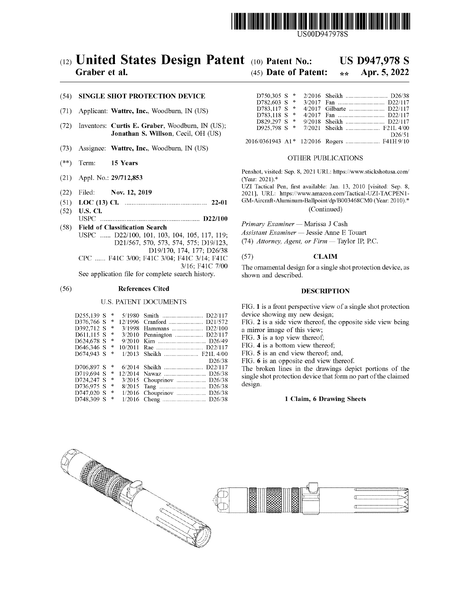

USOOD947978S

# (12) United States Design Patent (10) Patent No.: US D947,978 S<br>Graber et al. (45) Date of Patent:  $\frac{1}{2}$  Apr. 5, 2022

### (54) SINGLE SHOT PROTECTION DEVICE

- (71) Applicant: Wattre, Inc., Woodburn, IN (US)
- $(72)$  Inventors: Curtis E. Graber, Woodburn, IN (US); Jonathan S. Willson, Cecil, OH (US)
- $(73)$  Assignee: Wattre, Inc., Woodburn, IN (US)  $^2$
- (\*\*) Term: 15 Years CHER PUBLICATIONS
- (21) Appl. No.: 29/712,853
- (22) Filed: Nov. 12, 2019
- ( 51 ) LOC ( 13 ) CI . 22-01
- ( 52 ) U.S. Ci . USPC D22 / 100
- (58) Field of Classification Search USPC ...... D22/100, 101, 103, 104, 105, 117, 119;<br>D21/567, 570, 573, 574, 575; D19/123, D19/170, 174, 177; D26/38 CPC ...... F41C 3/00; F41C 3/04; F41C 3/14; F41C 3/16; F41C 7/00

See application file for complete search history.

## (56) References Cited DESCRIPTION

### U.S. PATENT DOCUMENTS

| $D255,139 S$ *       |   |                            | device showing my new design;                   |
|----------------------|---|----------------------------|-------------------------------------------------|
| D376,766 S<br>$\ast$ |   |                            | FIG. 2 is a side view thereof, the opposite si  |
| D392.712 S *         |   |                            | a mirror image of this view;                    |
| $D611.115 S$ *       |   | 3/2010 Pennington  D22/117 | FIG. 3 is a top view thereof:                   |
| $D624.678$ S $*$     |   |                            |                                                 |
| D646.346 S $*$       |   |                            | FIG. 4 is a bottom view thereof;                |
| D674.943 S           | 半 |                            | FIG. 5 is an end view thereof; and,             |
|                      |   | D <sub>26</sub> /38        | FIG. 6 is an opposite end view thereof.         |
| $D706.897 S$ *       |   |                            | The broken lines in the drawings depict p       |
| $D719.694 S$ *       |   |                            | single shot protection device that form no part |
| $D724,247 S$ *       |   |                            |                                                 |
| $D736.975 S$ *       |   |                            | design.                                         |
| $D747.020 S$ *       |   |                            |                                                 |
| $D748.309 S$ *       |   |                            | 1 Claim, 6 Drawing Sheets                       |
|                      |   |                            |                                                 |

# $(45)$  Date of Patent:

| $D750.305 S$ * |  |                        |
|----------------|--|------------------------|
| D782.603 S *   |  |                        |
| D783.117 S *   |  |                        |
| D783.118 S *   |  |                        |
| D829.297 S *   |  | 9/2018 Sheikh  D22/117 |
| D925,798 S *   |  |                        |
|                |  | D <sub>26</sub> /51    |
|                |  |                        |
|                |  |                        |

Penshot, visited: Sep. 8, 2021 URL: https://www.stickshotusa.com/ (Year: 2021).\*<br>UZI Tactical Pen, first available: Jan. 13, 2010 [visited: Sep. 8,

2021], URL: https://www.amazon.com/Tactical-UZI-TACPEN1-GM-Aircraft-Aluminum-Ballpoint/dp/B003468CM0 (Year: 2010).\* (Continued)

Primary Examiner — Marissa J Cash Assistant Examiner - Jessie Anne E Touart

(74) Attorney, Agent, or  $Firm$  - Taylor IP, P.C.

### (57) **CLAIM**

The ornamental design for a single shot protection device , as shown and described.

FIG. 1 is a front perspective view of a single shot protection device showing my new design;

FIG. 2 is a side view thereof, the opposite side view being a mirror image of this view;

FIG. 6 is an opposite end view thereof.<br>The broken lines in the drawings depict portions of the single shot protection device that form no part of the claimed design.

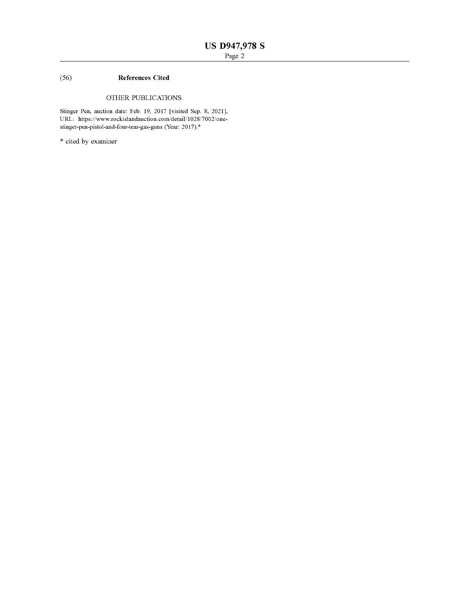# ( 56 ) References Cited

## OTHER PUBLICATIONS

Stinger Pen, auction date: Feb. 19, 2017 [visited Sep. 8, 2021], URL: https://www.rockislandauction.com/detail/1028/7002/onestinger-pen-pistol-and-four-tear-gas-guns (Year: 2017).\*

\* cited by examiner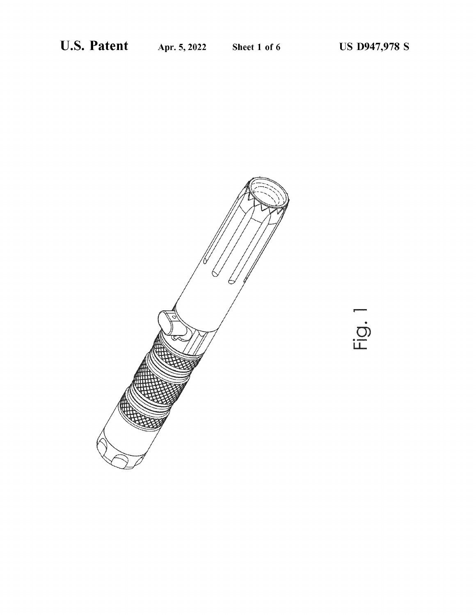$\frac{1}{2}$ 

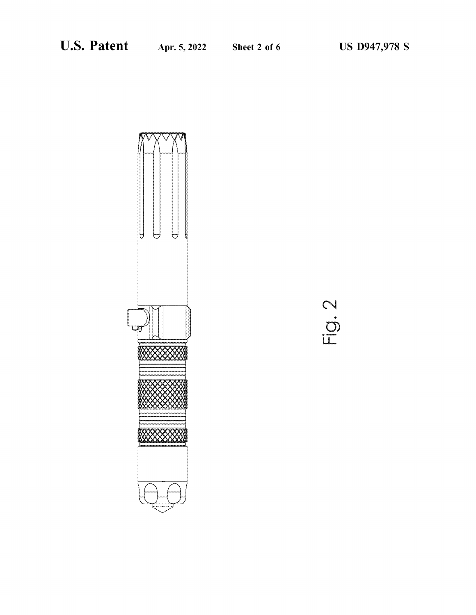

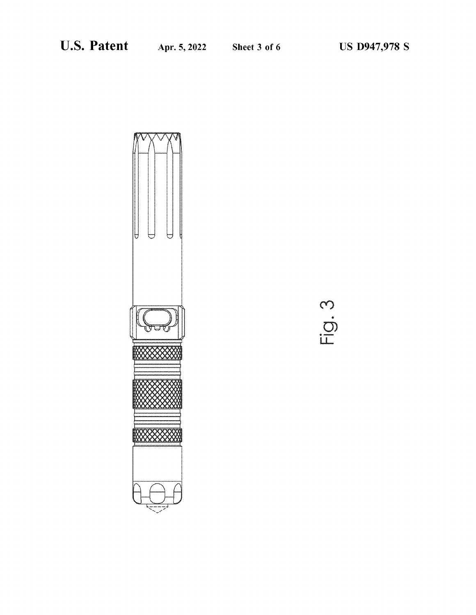

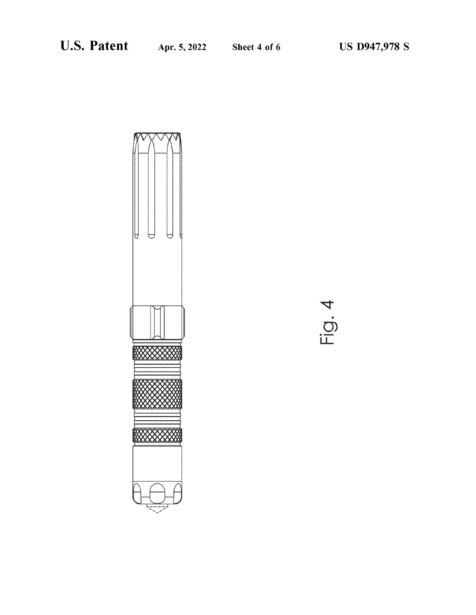

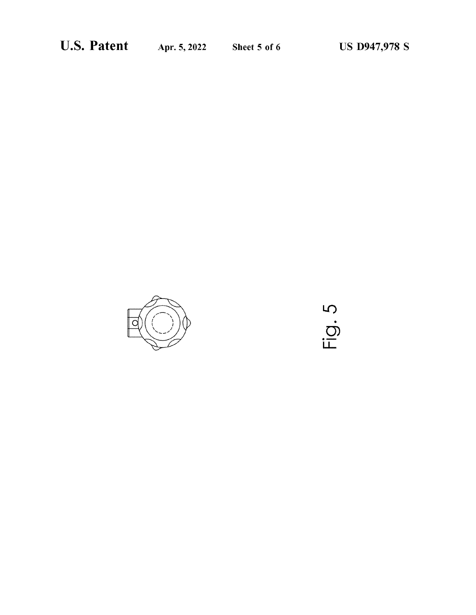